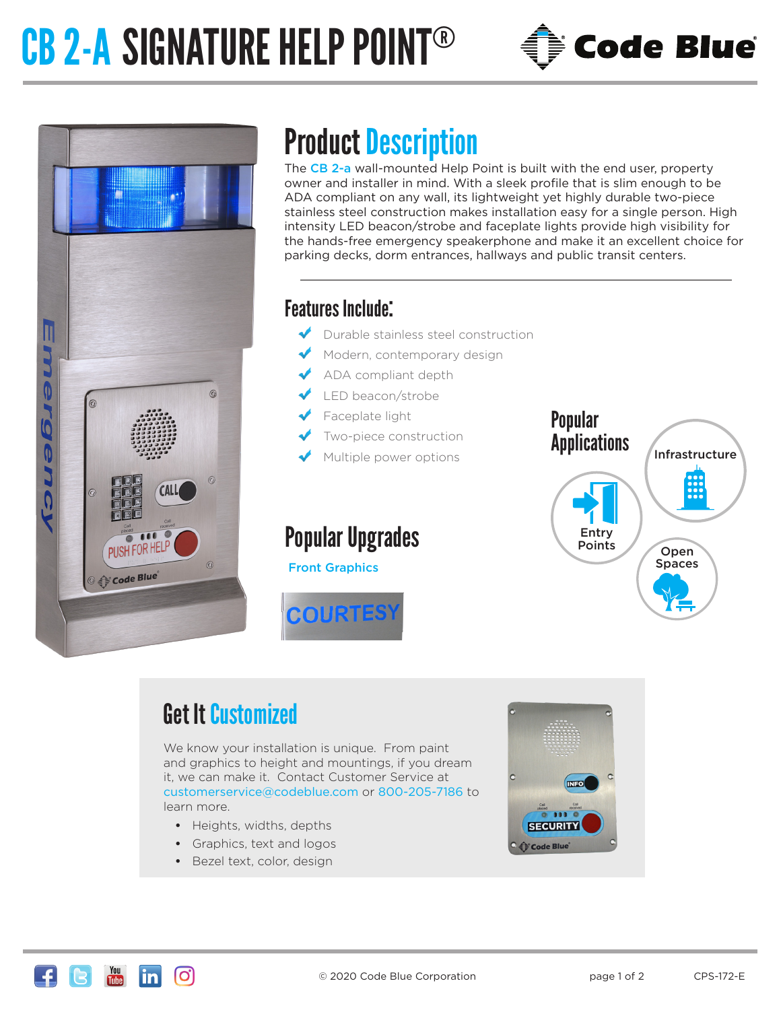# CB 2-A SIGNATURE HELP POINT®





### Product Description

The CB 2-a wall-mounted Help Point is built with the end user, property owner and installer in mind. With a sleek profile that is slim enough to be ADA compliant on any wall, its lightweight yet highly durable two-piece stainless steel construction makes installation easy for a single person. High intensity LED beacon/strobe and faceplate lights provide high visibility for the hands-free emergency speakerphone and make it an excellent choice for parking decks, dorm entrances, hallways and public transit centers.

#### Features Include:

- Durable stainless steel construction
- Modern, contemporary design
- ADA compliant depth
- LED beacon/strobe
- Faceplate light
- Two-piece construction
- Multiple power options

### Popular Upgrades

Front Graphics





### Get It Customized

We know your installation is unique. From paint and graphics to height and mountings, if you dream it, we can make it. Contact Customer Service at customerservice@codeblue.com or 800-205-7186 to learn more.

- **•** Heights, widths, depths
- **•** Graphics, text and logos
- **•** Bezel text, color, design